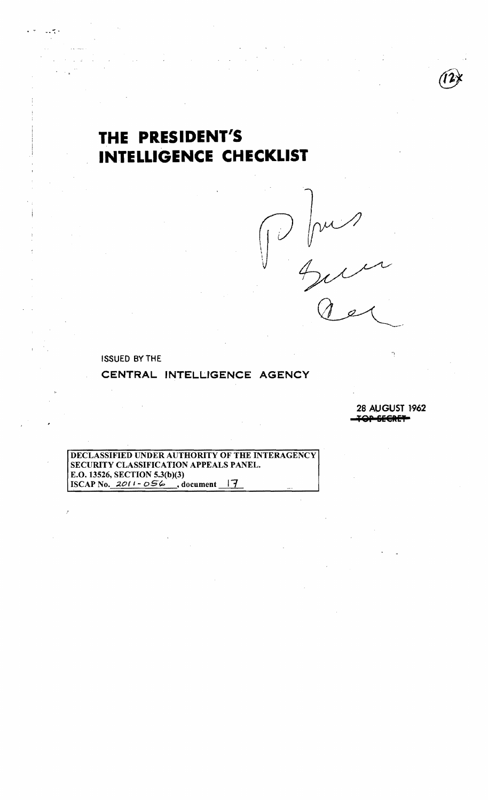## THE PRESIDENT'S **INTELLIGENCE CHECKLIST**

 $V -$ 

**ISSUED BY THE** 

CENTRAL INTELLIGENCE AGENCY

**28 AUGUST 1962** <u>an crence</u>

ŕ,

DECLASSIFIED UNDER AUTHORITY OF THE INTERAGENCY SECURITY CLASSIFICATION APPEALS PANEL. E.O. 13526, SECTION 5.3(b)(3) ISCAP No.  $2011 - 056$ , document 17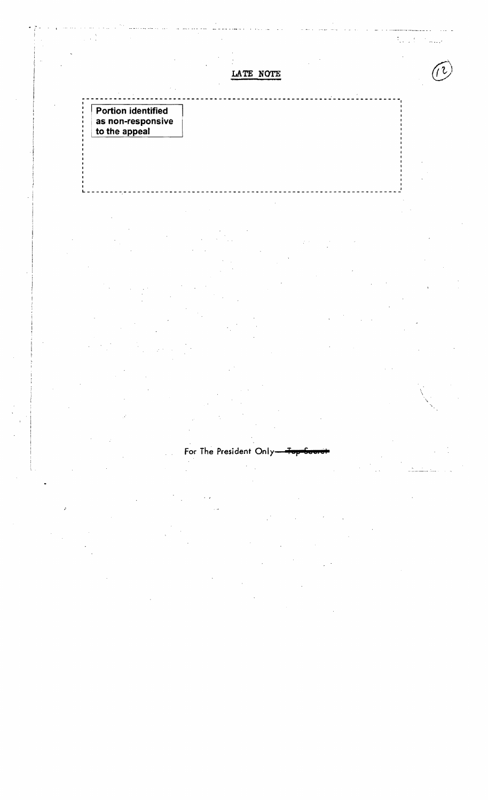$\mathbb{Q}^{\mathbb{Z}^{\times}}$  ,  $\mathbb{R}^{\mathbb{Z}^{\times}}$ .-..-.'

I

'\

**LATE NOTE** 

~-----------------------------------------------------~--------------~

\_\_\_\_\_\_\_ ~---------------------------------------------- \_\_\_\_\_\_\_\_\_\_\_\_\_\_ J . i

<sup>I</sup>**'Portion identified** : I **as non-responsive**  . **to the appeal** 

For The President Only-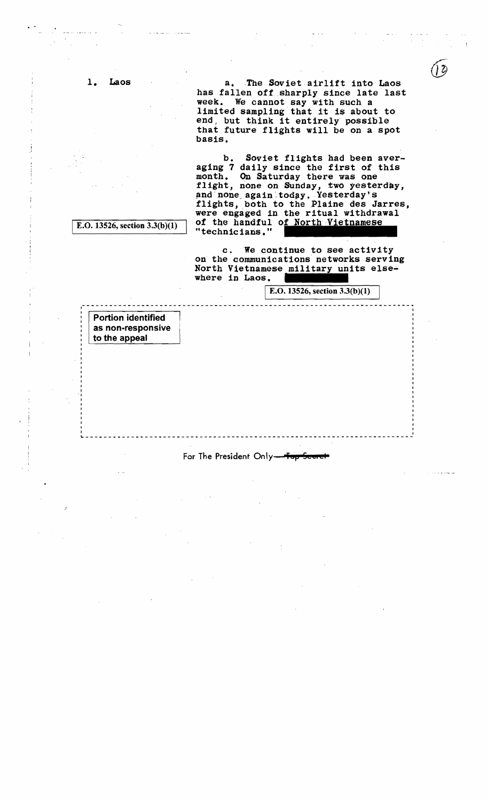1. Laos a. The Soviet airlift into Laos has fallen oft sharply since late last week. We cannot say with such a limited sampling that it is about to end, but think it entirely possible that future flights will be on a spot basis.

> b. Soviet flights had been averaging 7 daily since the first of this month. On Saturday there was one flight, none on Sunday, two yesterday, and none again today. Yesterday's flights, both to the Plaine des Jarres, were engaged in the ritual withdrawal of the handful of North Vietnamese "technicians."

E.O. 13526, section  $3.3(b)(1)$ 

c. We continue to see activity on the communications networks serving North Vietnamese military units elsewhere in Laos.

 $E. O. 13526$ , section 3.3(b)(1)

Portion identified as non-responsive to the appeal

I

For The President Only-Top

------.-----------------------------------------------------------------<sup>I</sup>

I-"---~------------~-----------------------------------------------------.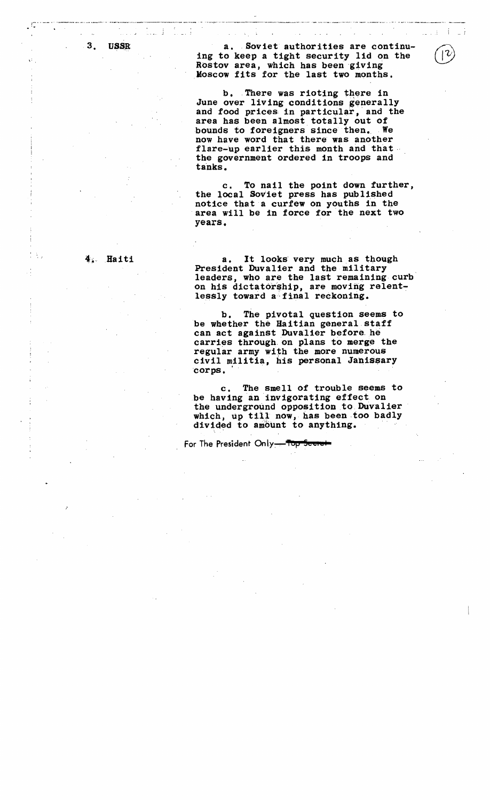3. USSR

 $\mathfrak{c}$  .

· \_.. \_ .•\_\_\_\_,.\_.. \_~~ \_\_..\_..• \_,, \_\_ . \_\_ •• \_\_\_\_\_.. \_\_\_\_ ~\_.\_ .~"'\_ •.,.,..... ,,,.~.,, •. \_.,,,,,,,,\_~·\_\_\_.\_••\_\_\_\_\_.\_,.M••.\_\_ .\_

a.Soviet authorities are continuing to keep a tight security lid on the Rostov area, which has been giving Moscow fits for the last two months.

b. There was rioting there in<br>June over living conditions generally and food prices in particular, and the area has been almost totally out of bounds to foreigners since then. We now have word that there was another flare-up earlier this month and that the government ordered in troops and tanks.

c. To nail the point down further, the local Soviet press has published notice that a curfew on youths in the area will be in force for the next two years.

## $4.$  Haiti

a. It looks very much as though<br>President Duvalier and the military leaders, who are the last remaining curb on his dictatorship, are moving relentlessly toward a final reckoning.

b. The pivotal question seems to be whether the Haitian general staff can act against Duvalier before he carries through on plans to merge the regular army with the more numerous civil militia, his personal Janissary corps.

c. The smell of trouble seems to be having an invigorating effect on the underground opposition to Duvalier which, up till now, has been too badly divided to amount to anything.

For The President Only<del> Top I</del>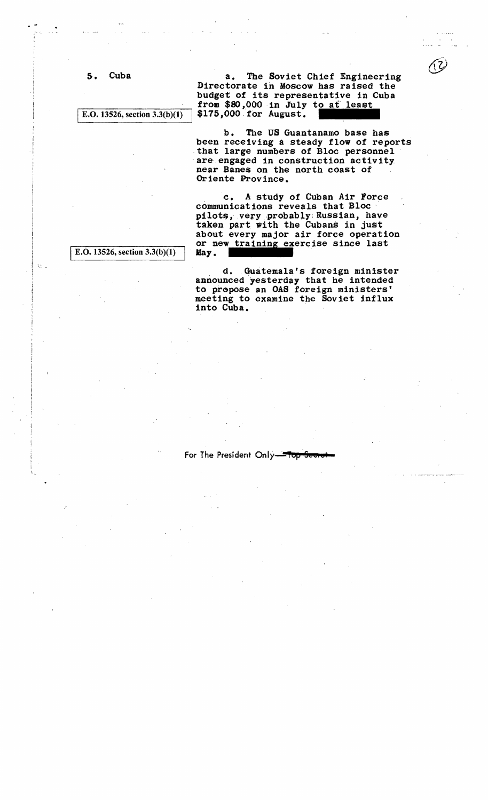5. Cuba a. The Soviet Chief Engineering Directorate in Moscow has raised the budget of its representative in Cuba from \$80,000 in July to at least<br>E.O. 13526, section  $3.3(b)(1)$  \$175,000 for August.  $$175,000$  for August.

> b. The US Guantanamo base has<br>been receiving a steady flow of reports that large numbers of Bloc personnel are engaged in construction activity near Banes. on the north coast of Oriente Province.

taken part with the Cubans in just<br>about every major air force operation<br>or new training exercise since last<br>May. . c. A study of Cuban Air Force communications reveals that Bloc. pilots, very probably; Russian, have taken part with the Cubans in just or new training exercise since last  $E.O. 13526$ , section  $3.3(b)(1)$  May.

ξŗ.

. d.Guatemala's foreign minister announced yesterday that he intended to propose an OAS foreign ministers' meeting to examine the Soviet influx into Cuba.

For The President Only-Top